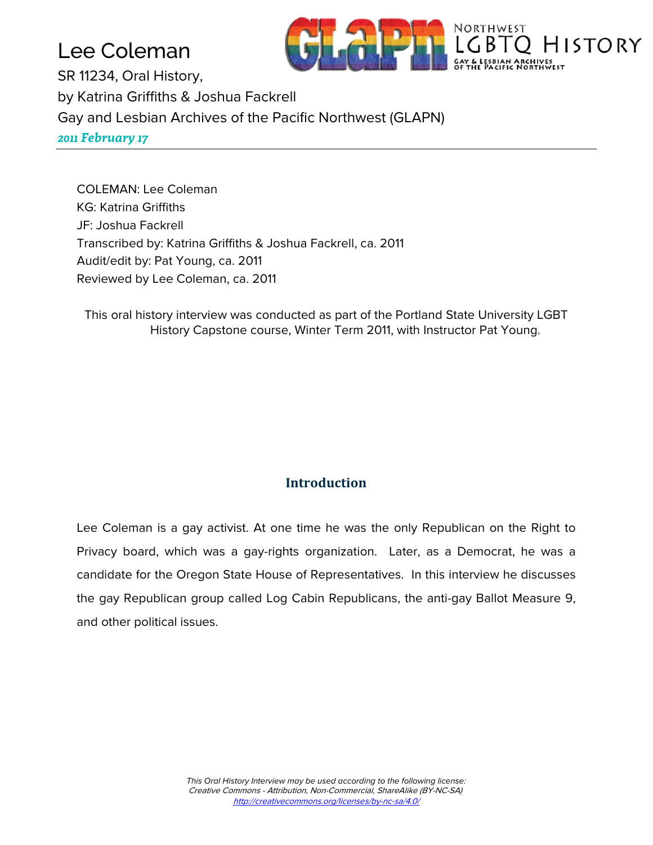# Lee Coleman



SR 11234, Oral History, by Katrina Griffiths & Joshua Fackrell Gay and Lesbian Archives of the Pacific Northwest (GLAPN) *2011 February 17*

COLEMAN: Lee Coleman KG: Katrina Griffiths JF: Joshua Fackrell Transcribed by: Katrina Griffiths & Joshua Fackrell, ca. 2011 Audit/edit by: Pat Young, ca. 2011 Reviewed by Lee Coleman, ca. 2011

This oral history interview was conducted as part of the Portland State University LGBT History Capstone course, Winter Term 2011, with Instructor Pat Young.

### **Introduction**

Lee Coleman is a gay activist. At one time he was the only Republican on the Right to Privacy board, which was a gay-rights organization. Later, as a Democrat, he was a candidate for the Oregon State House of Representatives. In this interview he discusses the gay Republican group called Log Cabin Republicans, the anti-gay Ballot Measure 9, and other political issues.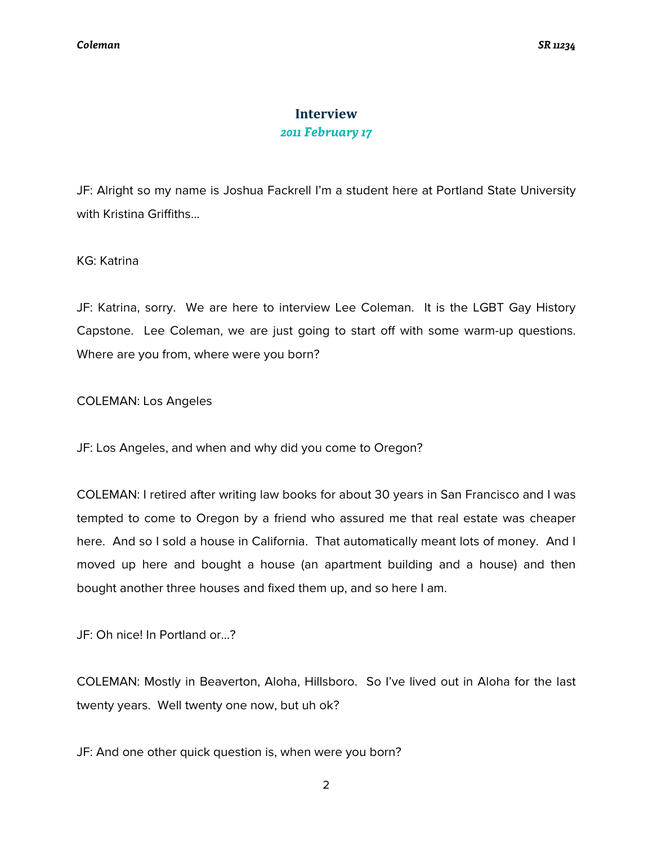## **Interview** *2011 February 17*

JF: Alright so my name is Joshua Fackrell I'm a student here at Portland State University with Kristina Griffiths…

KG: Katrina

JF: Katrina, sorry. We are here to interview Lee Coleman. It is the LGBT Gay History Capstone. Lee Coleman, we are just going to start off with some warm-up questions. Where are you from, where were you born?

COLEMAN: Los Angeles

JF: Los Angeles, and when and why did you come to Oregon?

COLEMAN: I retired after writing law books for about 30 years in San Francisco and I was tempted to come to Oregon by a friend who assured me that real estate was cheaper here. And so I sold a house in California. That automatically meant lots of money. And I moved up here and bought a house (an apartment building and a house) and then bought another three houses and fixed them up, and so here I am.

JF: Oh nice! In Portland or…?

COLEMAN: Mostly in Beaverton, Aloha, Hillsboro. So I've lived out in Aloha for the last twenty years. Well twenty one now, but uh ok?

JF: And one other quick question is, when were you born?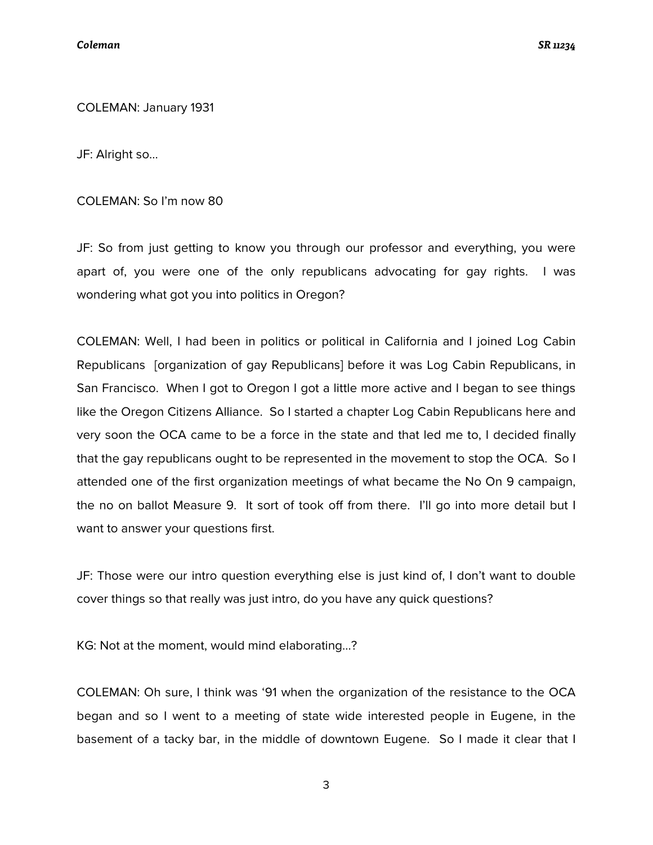COLEMAN: January 1931

JF: Alright so...

COLEMAN: So I'm now 80

JF: So from just getting to know you through our professor and everything, you were apart of, you were one of the only republicans advocating for gay rights. I was wondering what got you into politics in Oregon?

COLEMAN: Well, I had been in politics or political in California and I joined Log Cabin Republicans [organization of gay Republicans] before it was Log Cabin Republicans, in San Francisco. When I got to Oregon I got a little more active and I began to see things like the Oregon Citizens Alliance. So I started a chapter Log Cabin Republicans here and very soon the OCA came to be a force in the state and that led me to, I decided finally that the gay republicans ought to be represented in the movement to stop the OCA. So I attended one of the first organization meetings of what became the No On 9 campaign, the no on ballot Measure 9. It sort of took off from there. I'll go into more detail but I want to answer your questions first.

JF: Those were our intro question everything else is just kind of, I don't want to double cover things so that really was just intro, do you have any quick questions?

KG: Not at the moment, would mind elaborating…?

COLEMAN: Oh sure, I think was '91 when the organization of the resistance to the OCA began and so I went to a meeting of state wide interested people in Eugene, in the basement of a tacky bar, in the middle of downtown Eugene. So I made it clear that I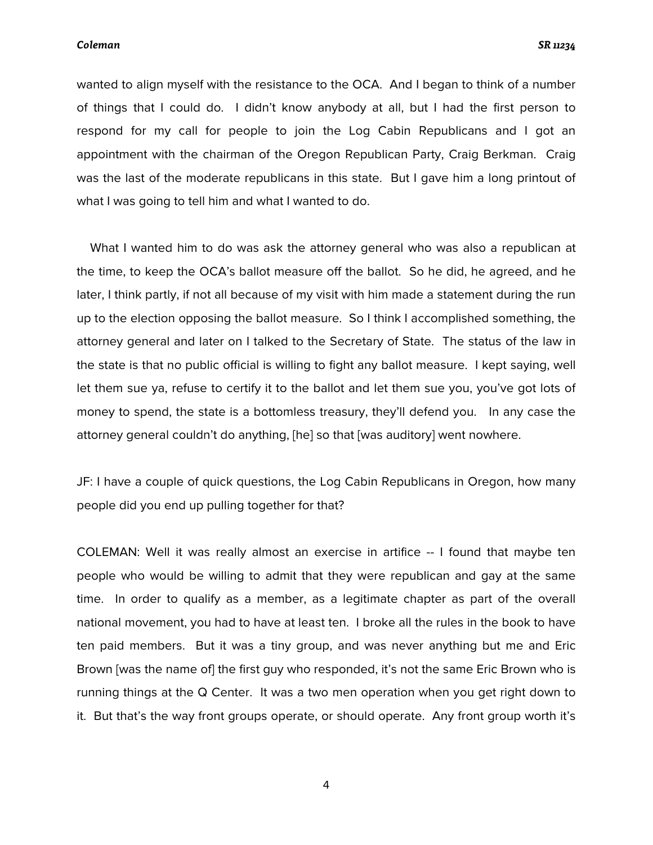wanted to align myself with the resistance to the OCA. And I began to think of a number of things that I could do. I didn't know anybody at all, but I had the first person to respond for my call for people to join the Log Cabin Republicans and I got an appointment with the chairman of the Oregon Republican Party, Craig Berkman. Craig was the last of the moderate republicans in this state. But I gave him a long printout of what I was going to tell him and what I wanted to do.

 What I wanted him to do was ask the attorney general who was also a republican at the time, to keep the OCA's ballot measure off the ballot. So he did, he agreed, and he later, I think partly, if not all because of my visit with him made a statement during the run up to the election opposing the ballot measure. So I think I accomplished something, the attorney general and later on I talked to the Secretary of State. The status of the law in the state is that no public official is willing to fight any ballot measure. I kept saying, well let them sue ya, refuse to certify it to the ballot and let them sue you, you've got lots of money to spend, the state is a bottomless treasury, they'll defend you. In any case the attorney general couldn't do anything, [he] so that [was auditory] went nowhere.

JF: I have a couple of quick questions, the Log Cabin Republicans in Oregon, how many people did you end up pulling together for that?

COLEMAN: Well it was really almost an exercise in artifice -- I found that maybe ten people who would be willing to admit that they were republican and gay at the same time. In order to qualify as a member, as a legitimate chapter as part of the overall national movement, you had to have at least ten. I broke all the rules in the book to have ten paid members. But it was a tiny group, and was never anything but me and Eric Brown [was the name of] the first guy who responded, it's not the same Eric Brown who is running things at the Q Center. It was a two men operation when you get right down to it. But that's the way front groups operate, or should operate. Any front group worth it's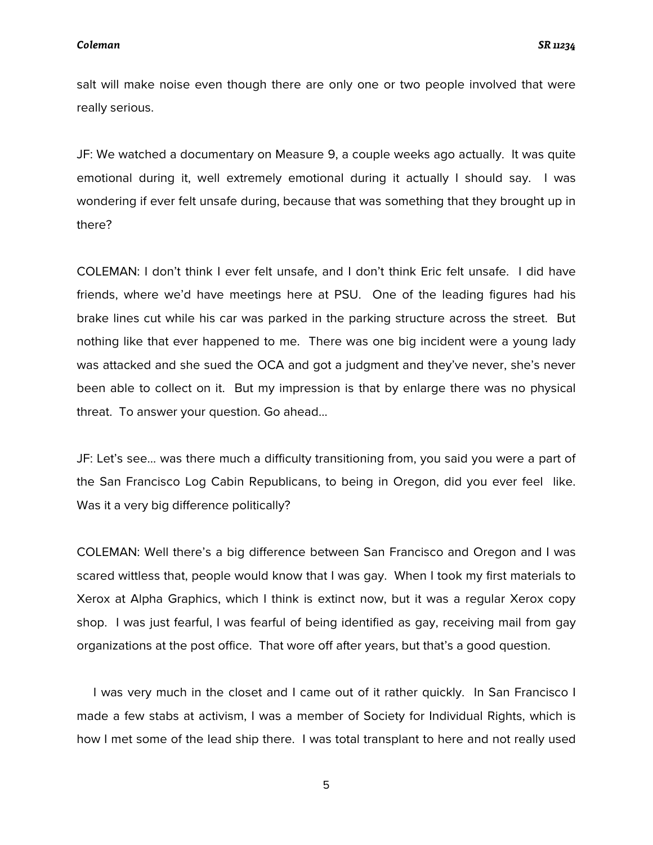salt will make noise even though there are only one or two people involved that were really serious.

JF: We watched a documentary on Measure 9, a couple weeks ago actually. It was quite emotional during it, well extremely emotional during it actually I should say. I was wondering if ever felt unsafe during, because that was something that they brought up in there?

COLEMAN: I don't think I ever felt unsafe, and I don't think Eric felt unsafe. I did have friends, where we'd have meetings here at PSU. One of the leading figures had his brake lines cut while his car was parked in the parking structure across the street. But nothing like that ever happened to me. There was one big incident were a young lady was attacked and she sued the OCA and got a judgment and they've never, she's never been able to collect on it. But my impression is that by enlarge there was no physical threat. To answer your question. Go ahead…

JF: Let's see… was there much a difficulty transitioning from, you said you were a part of the San Francisco Log Cabin Republicans, to being in Oregon, did you ever feel like. Was it a very big difference politically?

COLEMAN: Well there's a big difference between San Francisco and Oregon and I was scared wittless that, people would know that I was gay. When I took my first materials to Xerox at Alpha Graphics, which I think is extinct now, but it was a regular Xerox copy shop. I was just fearful, I was fearful of being identified as gay, receiving mail from gay organizations at the post office. That wore off after years, but that's a good question.

 I was very much in the closet and I came out of it rather quickly. In San Francisco I made a few stabs at activism, I was a member of Society for Individual Rights, which is how I met some of the lead ship there. I was total transplant to here and not really used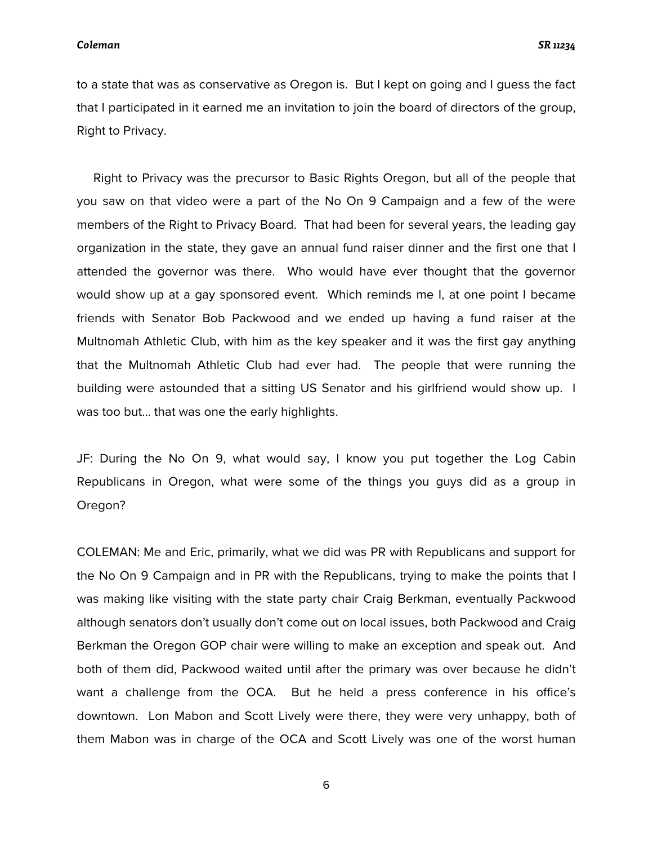to a state that was as conservative as Oregon is. But I kept on going and I guess the fact that I participated in it earned me an invitation to join the board of directors of the group, Right to Privacy.

 Right to Privacy was the precursor to Basic Rights Oregon, but all of the people that you saw on that video were a part of the No On 9 Campaign and a few of the were members of the Right to Privacy Board. That had been for several years, the leading gay organization in the state, they gave an annual fund raiser dinner and the first one that I attended the governor was there. Who would have ever thought that the governor would show up at a gay sponsored event. Which reminds me I, at one point I became friends with Senator Bob Packwood and we ended up having a fund raiser at the Multnomah Athletic Club, with him as the key speaker and it was the first gay anything that the Multnomah Athletic Club had ever had. The people that were running the building were astounded that a sitting US Senator and his girlfriend would show up. I was too but… that was one the early highlights.

JF: During the No On 9, what would say, I know you put together the Log Cabin Republicans in Oregon, what were some of the things you guys did as a group in Oregon?

COLEMAN: Me and Eric, primarily, what we did was PR with Republicans and support for the No On 9 Campaign and in PR with the Republicans, trying to make the points that I was making like visiting with the state party chair Craig Berkman, eventually Packwood although senators don't usually don't come out on local issues, both Packwood and Craig Berkman the Oregon GOP chair were willing to make an exception and speak out. And both of them did, Packwood waited until after the primary was over because he didn't want a challenge from the OCA. But he held a press conference in his office's downtown. Lon Mabon and Scott Lively were there, they were very unhappy, both of them Mabon was in charge of the OCA and Scott Lively was one of the worst human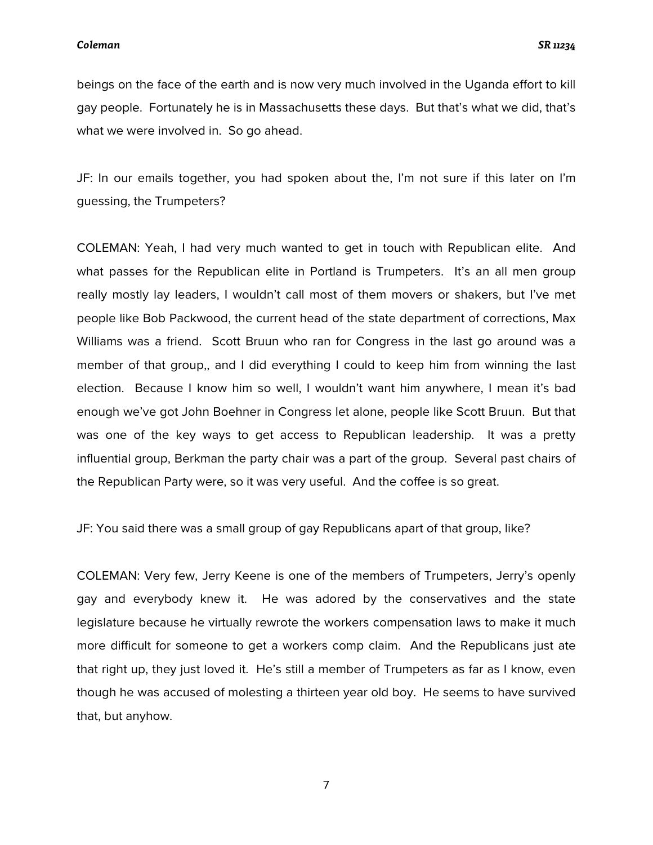beings on the face of the earth and is now very much involved in the Uganda effort to kill gay people. Fortunately he is in Massachusetts these days. But that's what we did, that's what we were involved in. So go ahead.

JF: In our emails together, you had spoken about the, I'm not sure if this later on I'm guessing, the Trumpeters?

COLEMAN: Yeah, I had very much wanted to get in touch with Republican elite. And what passes for the Republican elite in Portland is Trumpeters. It's an all men group really mostly lay leaders, I wouldn't call most of them movers or shakers, but I've met people like Bob Packwood, the current head of the state department of corrections, Max Williams was a friend. Scott Bruun who ran for Congress in the last go around was a member of that group,, and I did everything I could to keep him from winning the last election. Because I know him so well, I wouldn't want him anywhere, I mean it's bad enough we've got John Boehner in Congress let alone, people like Scott Bruun. But that was one of the key ways to get access to Republican leadership. It was a pretty influential group, Berkman the party chair was a part of the group. Several past chairs of the Republican Party were, so it was very useful. And the coffee is so great.

JF: You said there was a small group of gay Republicans apart of that group, like?

COLEMAN: Very few, Jerry Keene is one of the members of Trumpeters, Jerry's openly gay and everybody knew it. He was adored by the conservatives and the state legislature because he virtually rewrote the workers compensation laws to make it much more difficult for someone to get a workers comp claim. And the Republicans just ate that right up, they just loved it. He's still a member of Trumpeters as far as I know, even though he was accused of molesting a thirteen year old boy. He seems to have survived that, but anyhow.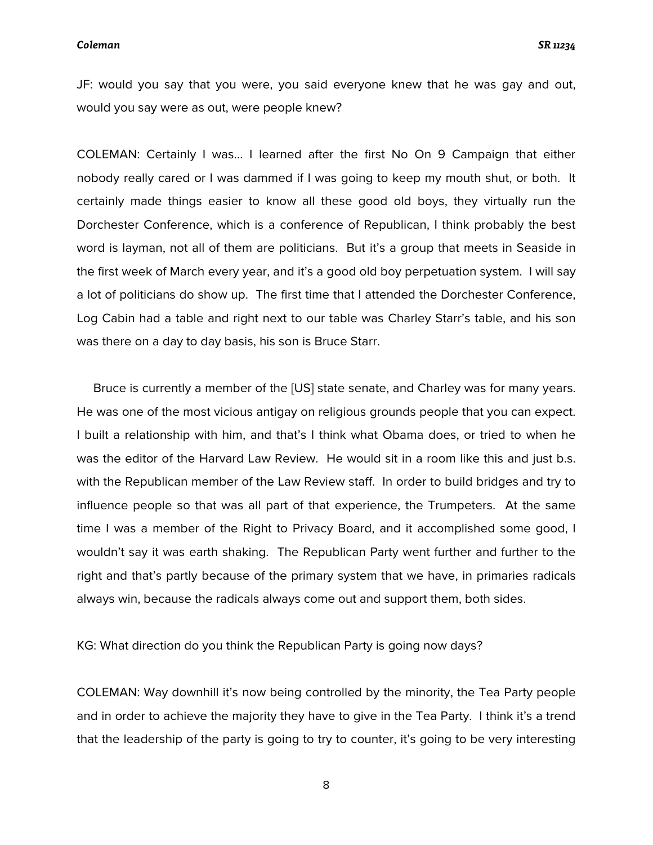JF: would you say that you were, you said everyone knew that he was gay and out, would you say were as out, were people knew?

COLEMAN: Certainly I was… I learned after the first No On 9 Campaign that either nobody really cared or I was dammed if I was going to keep my mouth shut, or both. It certainly made things easier to know all these good old boys, they virtually run the Dorchester Conference, which is a conference of Republican, I think probably the best word is layman, not all of them are politicians. But it's a group that meets in Seaside in the first week of March every year, and it's a good old boy perpetuation system. I will say a lot of politicians do show up. The first time that I attended the Dorchester Conference, Log Cabin had a table and right next to our table was Charley Starr's table, and his son was there on a day to day basis, his son is Bruce Starr.

 Bruce is currently a member of the [US] state senate, and Charley was for many years. He was one of the most vicious antigay on religious grounds people that you can expect. I built a relationship with him, and that's I think what Obama does, or tried to when he was the editor of the Harvard Law Review. He would sit in a room like this and just b.s. with the Republican member of the Law Review staff. In order to build bridges and try to influence people so that was all part of that experience, the Trumpeters. At the same time I was a member of the Right to Privacy Board, and it accomplished some good, I wouldn't say it was earth shaking. The Republican Party went further and further to the right and that's partly because of the primary system that we have, in primaries radicals always win, because the radicals always come out and support them, both sides.

KG: What direction do you think the Republican Party is going now days?

COLEMAN: Way downhill it's now being controlled by the minority, the Tea Party people and in order to achieve the majority they have to give in the Tea Party. I think it's a trend that the leadership of the party is going to try to counter, it's going to be very interesting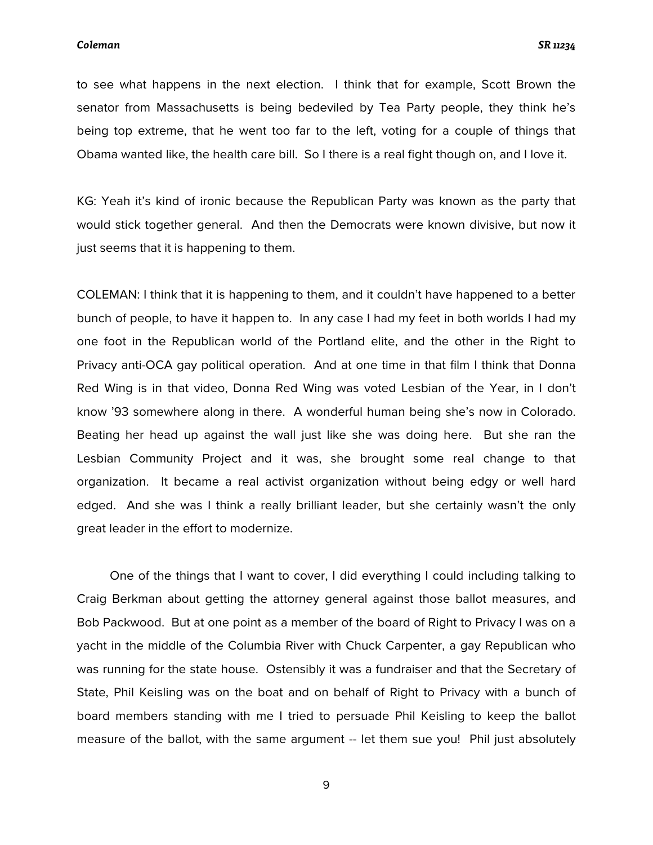to see what happens in the next election. I think that for example, Scott Brown the senator from Massachusetts is being bedeviled by Tea Party people, they think he's being top extreme, that he went too far to the left, voting for a couple of things that Obama wanted like, the health care bill. So I there is a real fight though on, and I love it.

KG: Yeah it's kind of ironic because the Republican Party was known as the party that would stick together general. And then the Democrats were known divisive, but now it just seems that it is happening to them.

COLEMAN: I think that it is happening to them, and it couldn't have happened to a better bunch of people, to have it happen to. In any case I had my feet in both worlds I had my one foot in the Republican world of the Portland elite, and the other in the Right to Privacy anti-OCA gay political operation. And at one time in that film I think that Donna Red Wing is in that video, Donna Red Wing was voted Lesbian of the Year, in I don't know '93 somewhere along in there. A wonderful human being she's now in Colorado. Beating her head up against the wall just like she was doing here. But she ran the Lesbian Community Project and it was, she brought some real change to that organization. It became a real activist organization without being edgy or well hard edged. And she was I think a really brilliant leader, but she certainly wasn't the only great leader in the effort to modernize.

 One of the things that I want to cover, I did everything I could including talking to Craig Berkman about getting the attorney general against those ballot measures, and Bob Packwood. But at one point as a member of the board of Right to Privacy I was on a yacht in the middle of the Columbia River with Chuck Carpenter, a gay Republican who was running for the state house. Ostensibly it was a fundraiser and that the Secretary of State, Phil Keisling was on the boat and on behalf of Right to Privacy with a bunch of board members standing with me I tried to persuade Phil Keisling to keep the ballot measure of the ballot, with the same argument -- let them sue you! Phil just absolutely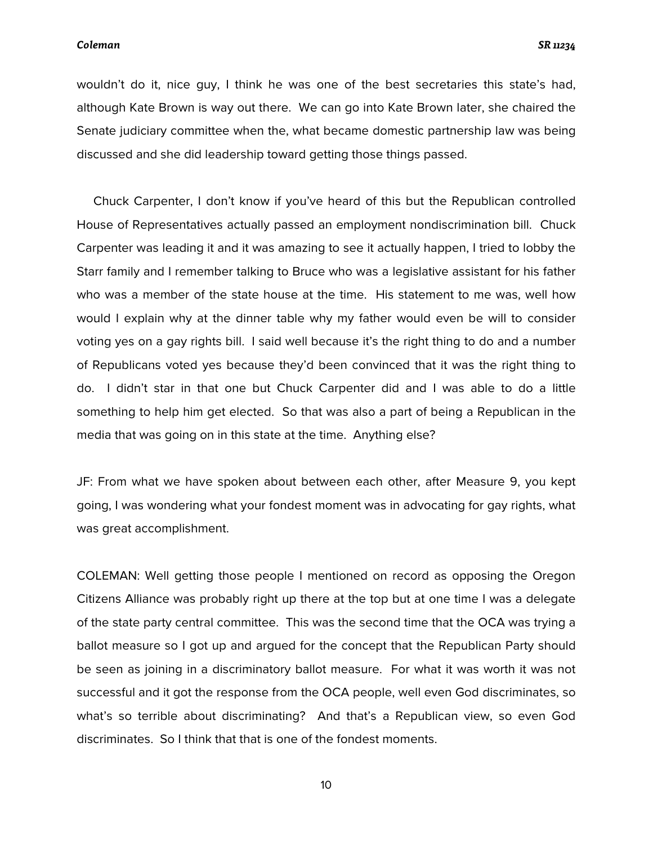wouldn't do it, nice guy, I think he was one of the best secretaries this state's had, although Kate Brown is way out there. We can go into Kate Brown later, she chaired the Senate judiciary committee when the, what became domestic partnership law was being discussed and she did leadership toward getting those things passed.

 Chuck Carpenter, I don't know if you've heard of this but the Republican controlled House of Representatives actually passed an employment nondiscrimination bill. Chuck Carpenter was leading it and it was amazing to see it actually happen, I tried to lobby the Starr family and I remember talking to Bruce who was a legislative assistant for his father who was a member of the state house at the time. His statement to me was, well how would I explain why at the dinner table why my father would even be will to consider voting yes on a gay rights bill. I said well because it's the right thing to do and a number of Republicans voted yes because they'd been convinced that it was the right thing to do. I didn't star in that one but Chuck Carpenter did and I was able to do a little something to help him get elected. So that was also a part of being a Republican in the media that was going on in this state at the time. Anything else?

JF: From what we have spoken about between each other, after Measure 9, you kept going, I was wondering what your fondest moment was in advocating for gay rights, what was great accomplishment.

COLEMAN: Well getting those people I mentioned on record as opposing the Oregon Citizens Alliance was probably right up there at the top but at one time I was a delegate of the state party central committee. This was the second time that the OCA was trying a ballot measure so I got up and argued for the concept that the Republican Party should be seen as joining in a discriminatory ballot measure. For what it was worth it was not successful and it got the response from the OCA people, well even God discriminates, so what's so terrible about discriminating? And that's a Republican view, so even God discriminates. So I think that that is one of the fondest moments.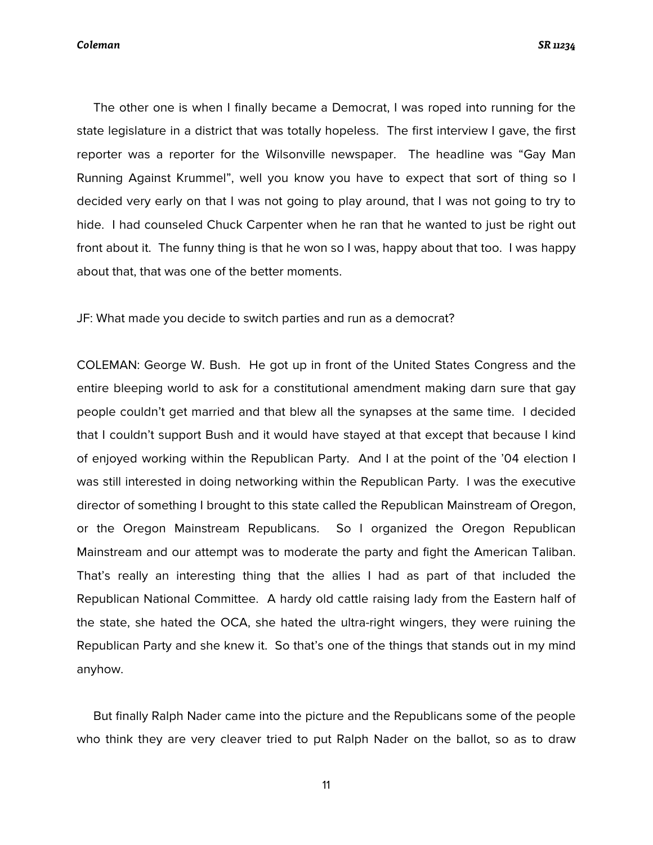The other one is when I finally became a Democrat, I was roped into running for the state legislature in a district that was totally hopeless. The first interview I gave, the first reporter was a reporter for the Wilsonville newspaper. The headline was "Gay Man Running Against Krummel", well you know you have to expect that sort of thing so I decided very early on that I was not going to play around, that I was not going to try to hide. I had counseled Chuck Carpenter when he ran that he wanted to just be right out front about it. The funny thing is that he won so I was, happy about that too. I was happy about that, that was one of the better moments.

JF: What made you decide to switch parties and run as a democrat?

COLEMAN: George W. Bush. He got up in front of the United States Congress and the entire bleeping world to ask for a constitutional amendment making darn sure that gay people couldn't get married and that blew all the synapses at the same time. I decided that I couldn't support Bush and it would have stayed at that except that because I kind of enjoyed working within the Republican Party. And I at the point of the '04 election I was still interested in doing networking within the Republican Party. I was the executive director of something I brought to this state called the Republican Mainstream of Oregon, or the Oregon Mainstream Republicans. So I organized the Oregon Republican Mainstream and our attempt was to moderate the party and fight the American Taliban. That's really an interesting thing that the allies I had as part of that included the Republican National Committee. A hardy old cattle raising lady from the Eastern half of the state, she hated the OCA, she hated the ultra-right wingers, they were ruining the Republican Party and she knew it. So that's one of the things that stands out in my mind anyhow.

 But finally Ralph Nader came into the picture and the Republicans some of the people who think they are very cleaver tried to put Ralph Nader on the ballot, so as to draw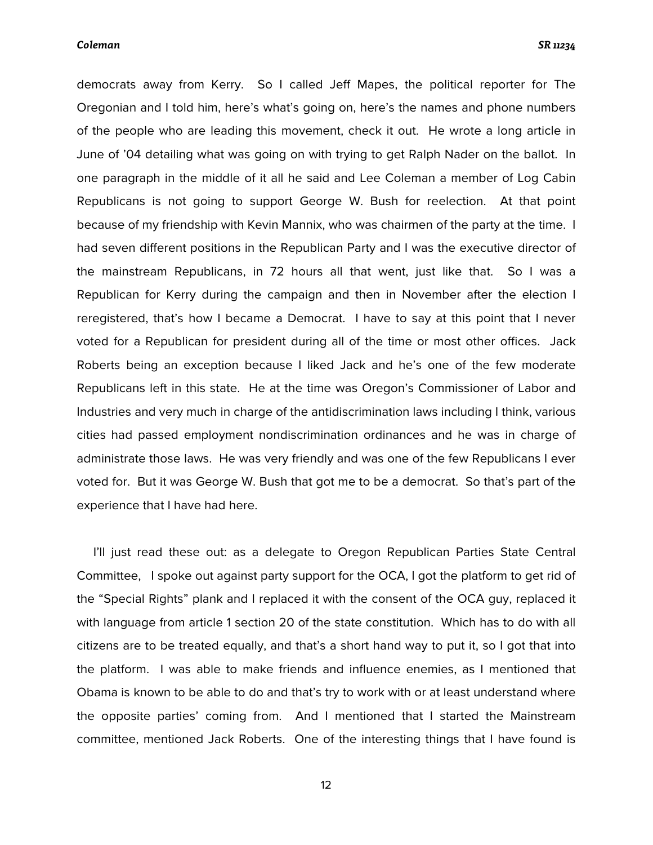democrats away from Kerry. So I called Jeff Mapes, the political reporter for The Oregonian and I told him, here's what's going on, here's the names and phone numbers of the people who are leading this movement, check it out. He wrote a long article in June of '04 detailing what was going on with trying to get Ralph Nader on the ballot. In one paragraph in the middle of it all he said and Lee Coleman a member of Log Cabin Republicans is not going to support George W. Bush for reelection. At that point because of my friendship with Kevin Mannix, who was chairmen of the party at the time. I had seven different positions in the Republican Party and I was the executive director of the mainstream Republicans, in 72 hours all that went, just like that. So I was a Republican for Kerry during the campaign and then in November after the election I reregistered, that's how I became a Democrat. I have to say at this point that I never voted for a Republican for president during all of the time or most other offices. Jack Roberts being an exception because I liked Jack and he's one of the few moderate Republicans left in this state. He at the time was Oregon's Commissioner of Labor and Industries and very much in charge of the antidiscrimination laws including I think, various cities had passed employment nondiscrimination ordinances and he was in charge of administrate those laws. He was very friendly and was one of the few Republicans I ever voted for. But it was George W. Bush that got me to be a democrat. So that's part of the experience that I have had here.

 I'll just read these out: as a delegate to Oregon Republican Parties State Central Committee, I spoke out against party support for the OCA, I got the platform to get rid of the "Special Rights" plank and I replaced it with the consent of the OCA guy, replaced it with language from article 1 section 20 of the state constitution. Which has to do with all citizens are to be treated equally, and that's a short hand way to put it, so I got that into the platform. I was able to make friends and influence enemies, as I mentioned that Obama is known to be able to do and that's try to work with or at least understand where the opposite parties' coming from. And I mentioned that I started the Mainstream committee, mentioned Jack Roberts. One of the interesting things that I have found is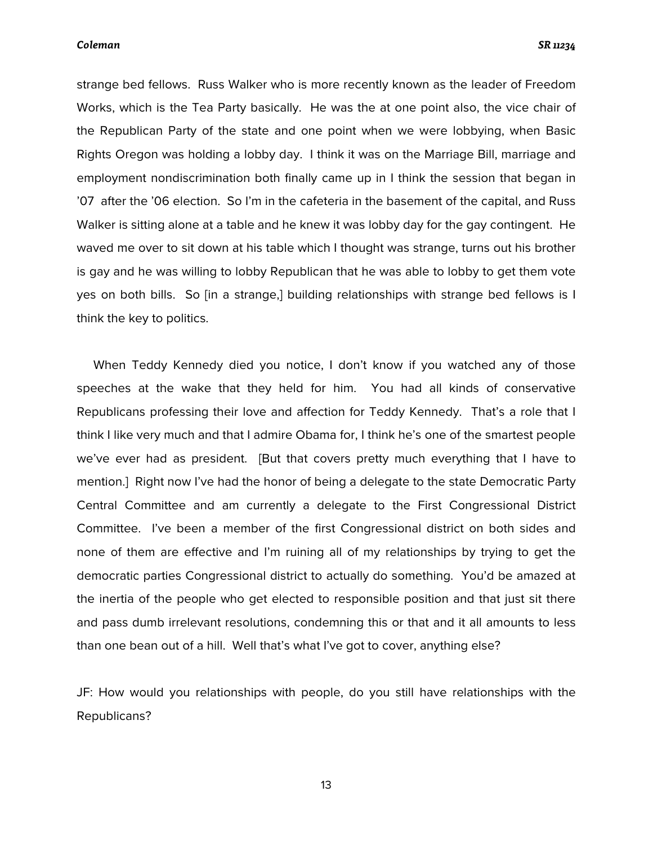strange bed fellows. Russ Walker who is more recently known as the leader of Freedom Works, which is the Tea Party basically. He was the at one point also, the vice chair of the Republican Party of the state and one point when we were lobbying, when Basic Rights Oregon was holding a lobby day. I think it was on the Marriage Bill, marriage and employment nondiscrimination both finally came up in I think the session that began in '07 after the '06 election. So I'm in the cafeteria in the basement of the capital, and Russ Walker is sitting alone at a table and he knew it was lobby day for the gay contingent. He waved me over to sit down at his table which I thought was strange, turns out his brother is gay and he was willing to lobby Republican that he was able to lobby to get them vote yes on both bills. So [in a strange,] building relationships with strange bed fellows is I think the key to politics.

 When Teddy Kennedy died you notice, I don't know if you watched any of those speeches at the wake that they held for him. You had all kinds of conservative Republicans professing their love and affection for Teddy Kennedy. That's a role that I think I like very much and that I admire Obama for, I think he's one of the smartest people we've ever had as president. [But that covers pretty much everything that I have to mention.] Right now I've had the honor of being a delegate to the state Democratic Party Central Committee and am currently a delegate to the First Congressional District Committee. I've been a member of the first Congressional district on both sides and none of them are effective and I'm ruining all of my relationships by trying to get the democratic parties Congressional district to actually do something. You'd be amazed at the inertia of the people who get elected to responsible position and that just sit there and pass dumb irrelevant resolutions, condemning this or that and it all amounts to less than one bean out of a hill. Well that's what I've got to cover, anything else?

JF: How would you relationships with people, do you still have relationships with the Republicans?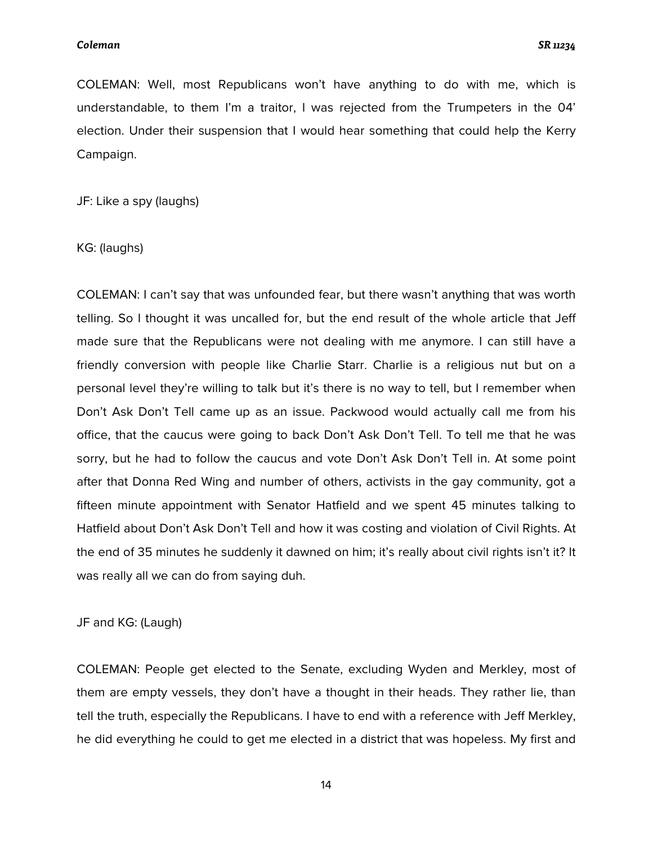COLEMAN: Well, most Republicans won't have anything to do with me, which is understandable, to them I'm a traitor, I was rejected from the Trumpeters in the 04' election. Under their suspension that I would hear something that could help the Kerry Campaign.

JF: Like a spy (laughs)

KG: (laughs)

COLEMAN: I can't say that was unfounded fear, but there wasn't anything that was worth telling. So I thought it was uncalled for, but the end result of the whole article that Jeff made sure that the Republicans were not dealing with me anymore. I can still have a friendly conversion with people like Charlie Starr. Charlie is a religious nut but on a personal level they're willing to talk but it's there is no way to tell, but I remember when Don't Ask Don't Tell came up as an issue. Packwood would actually call me from his office, that the caucus were going to back Don't Ask Don't Tell. To tell me that he was sorry, but he had to follow the caucus and vote Don't Ask Don't Tell in. At some point after that Donna Red Wing and number of others, activists in the gay community, got a fifteen minute appointment with Senator Hatfield and we spent 45 minutes talking to Hatfield about Don't Ask Don't Tell and how it was costing and violation of Civil Rights. At the end of 35 minutes he suddenly it dawned on him; it's really about civil rights isn't it? It was really all we can do from saying duh.

JF and KG: (Laugh)

COLEMAN: People get elected to the Senate, excluding Wyden and Merkley, most of them are empty vessels, they don't have a thought in their heads. They rather lie, than tell the truth, especially the Republicans. I have to end with a reference with Jeff Merkley, he did everything he could to get me elected in a district that was hopeless. My first and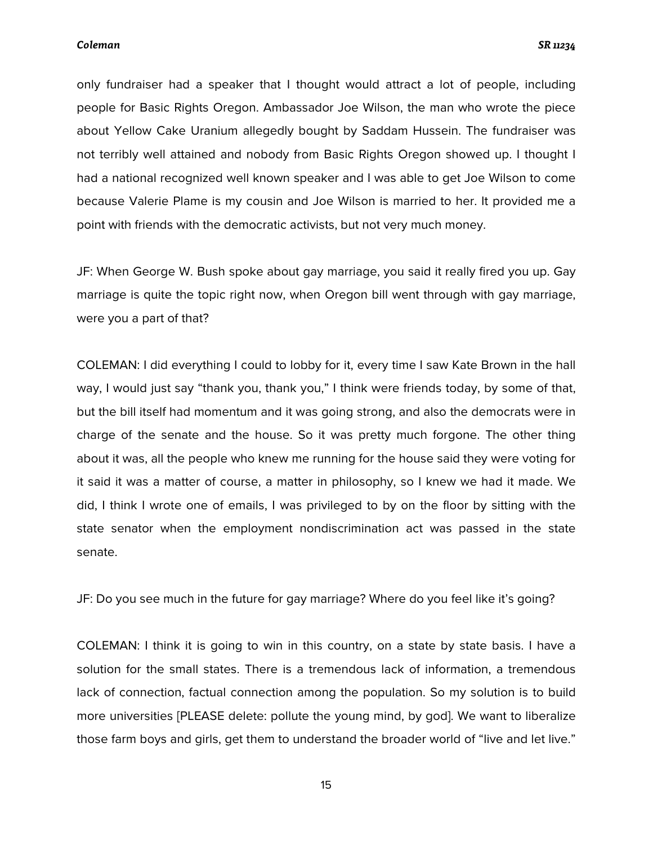only fundraiser had a speaker that I thought would attract a lot of people, including people for Basic Rights Oregon. Ambassador Joe Wilson, the man who wrote the piece about Yellow Cake Uranium allegedly bought by Saddam Hussein. The fundraiser was not terribly well attained and nobody from Basic Rights Oregon showed up. I thought I had a national recognized well known speaker and I was able to get Joe Wilson to come because Valerie Plame is my cousin and Joe Wilson is married to her. It provided me a point with friends with the democratic activists, but not very much money.

JF: When George W. Bush spoke about gay marriage, you said it really fired you up. Gay marriage is quite the topic right now, when Oregon bill went through with gay marriage, were you a part of that?

COLEMAN: I did everything I could to lobby for it, every time I saw Kate Brown in the hall way, I would just say "thank you, thank you," I think were friends today, by some of that, but the bill itself had momentum and it was going strong, and also the democrats were in charge of the senate and the house. So it was pretty much forgone. The other thing about it was, all the people who knew me running for the house said they were voting for it said it was a matter of course, a matter in philosophy, so I knew we had it made. We did, I think I wrote one of emails, I was privileged to by on the floor by sitting with the state senator when the employment nondiscrimination act was passed in the state senate.

JF: Do you see much in the future for gay marriage? Where do you feel like it's going?

COLEMAN: I think it is going to win in this country, on a state by state basis. I have a solution for the small states. There is a tremendous lack of information, a tremendous lack of connection, factual connection among the population. So my solution is to build more universities [PLEASE delete: pollute the young mind, by god]. We want to liberalize those farm boys and girls, get them to understand the broader world of "live and let live."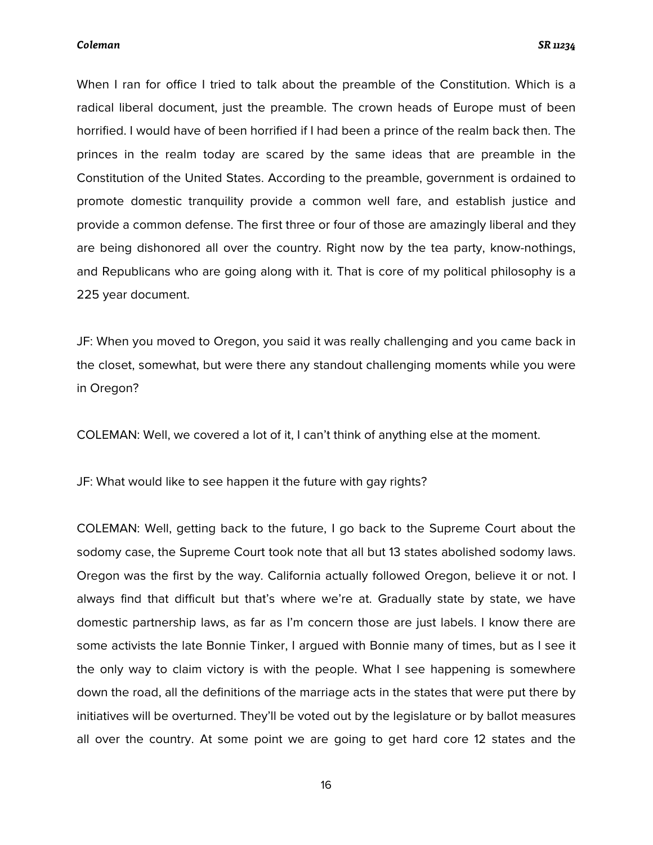When I ran for office I tried to talk about the preamble of the Constitution. Which is a radical liberal document, just the preamble. The crown heads of Europe must of been horrified. I would have of been horrified if I had been a prince of the realm back then. The princes in the realm today are scared by the same ideas that are preamble in the Constitution of the United States. According to the preamble, government is ordained to promote domestic tranquility provide a common well fare, and establish justice and provide a common defense. The first three or four of those are amazingly liberal and they are being dishonored all over the country. Right now by the tea party, know-nothings, and Republicans who are going along with it. That is core of my political philosophy is a 225 year document.

JF: When you moved to Oregon, you said it was really challenging and you came back in the closet, somewhat, but were there any standout challenging moments while you were in Oregon?

COLEMAN: Well, we covered a lot of it, I can't think of anything else at the moment.

JF: What would like to see happen it the future with gay rights?

COLEMAN: Well, getting back to the future, I go back to the Supreme Court about the sodomy case, the Supreme Court took note that all but 13 states abolished sodomy laws. Oregon was the first by the way. California actually followed Oregon, believe it or not. I always find that difficult but that's where we're at. Gradually state by state, we have domestic partnership laws, as far as I'm concern those are just labels. I know there are some activists the late Bonnie Tinker, I argued with Bonnie many of times, but as I see it the only way to claim victory is with the people. What I see happening is somewhere down the road, all the definitions of the marriage acts in the states that were put there by initiatives will be overturned. They'll be voted out by the legislature or by ballot measures all over the country. At some point we are going to get hard core 12 states and the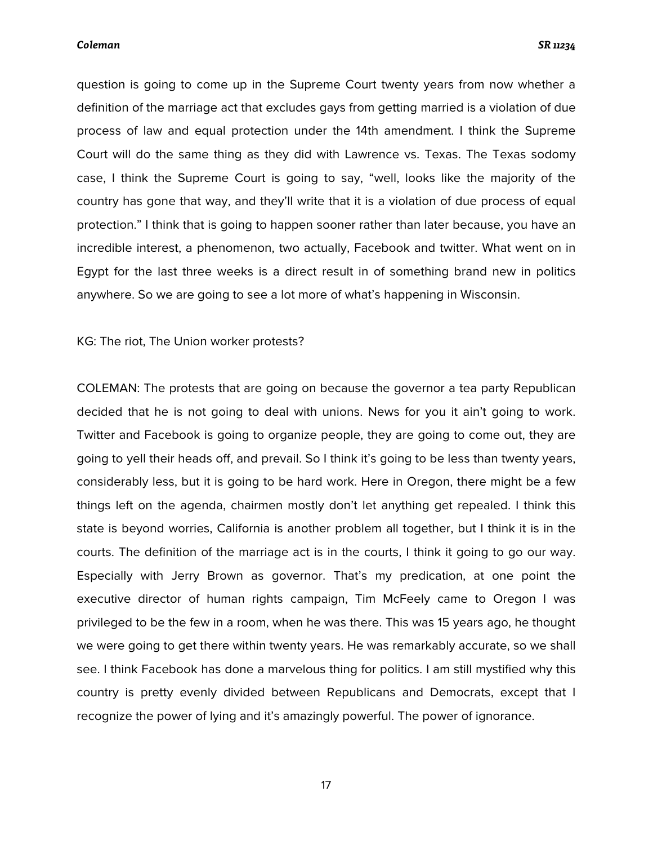question is going to come up in the Supreme Court twenty years from now whether a definition of the marriage act that excludes gays from getting married is a violation of due process of law and equal protection under the 14th amendment. I think the Supreme Court will do the same thing as they did with Lawrence vs. Texas. The Texas sodomy case, I think the Supreme Court is going to say, "well, looks like the majority of the country has gone that way, and they'll write that it is a violation of due process of equal protection." I think that is going to happen sooner rather than later because, you have an incredible interest, a phenomenon, two actually, Facebook and twitter. What went on in Egypt for the last three weeks is a direct result in of something brand new in politics anywhere. So we are going to see a lot more of what's happening in Wisconsin.

KG: The riot, The Union worker protests?

COLEMAN: The protests that are going on because the governor a tea party Republican decided that he is not going to deal with unions. News for you it ain't going to work. Twitter and Facebook is going to organize people, they are going to come out, they are going to yell their heads off, and prevail. So I think it's going to be less than twenty years, considerably less, but it is going to be hard work. Here in Oregon, there might be a few things left on the agenda, chairmen mostly don't let anything get repealed. I think this state is beyond worries, California is another problem all together, but I think it is in the courts. The definition of the marriage act is in the courts, I think it going to go our way. Especially with Jerry Brown as governor. That's my predication, at one point the executive director of human rights campaign, Tim McFeely came to Oregon I was privileged to be the few in a room, when he was there. This was 15 years ago, he thought we were going to get there within twenty years. He was remarkably accurate, so we shall see. I think Facebook has done a marvelous thing for politics. I am still mystified why this country is pretty evenly divided between Republicans and Democrats, except that I recognize the power of lying and it's amazingly powerful. The power of ignorance.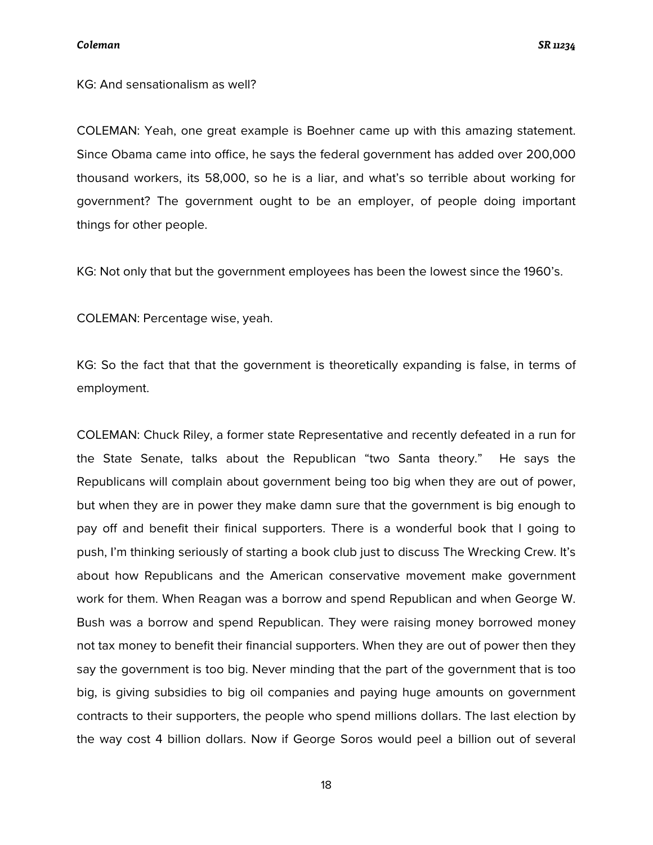KG: And sensationalism as well?

COLEMAN: Yeah, one great example is Boehner came up with this amazing statement. Since Obama came into office, he says the federal government has added over 200,000 thousand workers, its 58,000, so he is a liar, and what's so terrible about working for government? The government ought to be an employer, of people doing important things for other people.

KG: Not only that but the government employees has been the lowest since the 1960's.

COLEMAN: Percentage wise, yeah.

KG: So the fact that that the government is theoretically expanding is false, in terms of employment.

COLEMAN: Chuck Riley, a former state Representative and recently defeated in a run for the State Senate, talks about the Republican "two Santa theory." He says the Republicans will complain about government being too big when they are out of power, but when they are in power they make damn sure that the government is big enough to pay off and benefit their finical supporters. There is a wonderful book that I going to push, I'm thinking seriously of starting a book club just to discuss The Wrecking Crew. It's about how Republicans and the American conservative movement make government work for them. When Reagan was a borrow and spend Republican and when George W. Bush was a borrow and spend Republican. They were raising money borrowed money not tax money to benefit their financial supporters. When they are out of power then they say the government is too big. Never minding that the part of the government that is too big, is giving subsidies to big oil companies and paying huge amounts on government contracts to their supporters, the people who spend millions dollars. The last election by the way cost 4 billion dollars. Now if George Soros would peel a billion out of several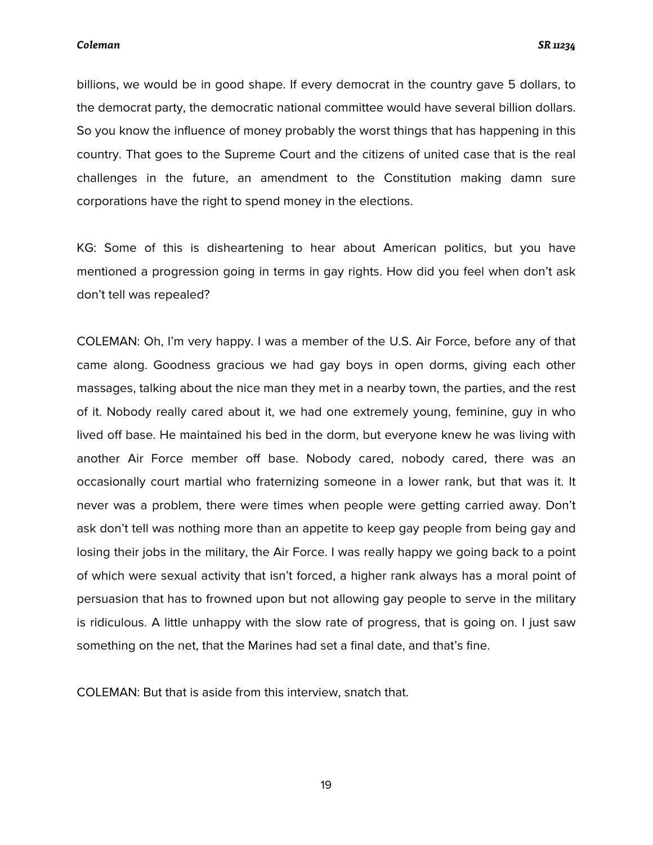billions, we would be in good shape. If every democrat in the country gave 5 dollars, to the democrat party, the democratic national committee would have several billion dollars. So you know the influence of money probably the worst things that has happening in this country. That goes to the Supreme Court and the citizens of united case that is the real challenges in the future, an amendment to the Constitution making damn sure corporations have the right to spend money in the elections.

KG: Some of this is disheartening to hear about American politics, but you have mentioned a progression going in terms in gay rights. How did you feel when don't ask don't tell was repealed?

COLEMAN: Oh, I'm very happy. I was a member of the U.S. Air Force, before any of that came along. Goodness gracious we had gay boys in open dorms, giving each other massages, talking about the nice man they met in a nearby town, the parties, and the rest of it. Nobody really cared about it, we had one extremely young, feminine, guy in who lived off base. He maintained his bed in the dorm, but everyone knew he was living with another Air Force member off base. Nobody cared, nobody cared, there was an occasionally court martial who fraternizing someone in a lower rank, but that was it. It never was a problem, there were times when people were getting carried away. Don't ask don't tell was nothing more than an appetite to keep gay people from being gay and losing their jobs in the military, the Air Force. I was really happy we going back to a point of which were sexual activity that isn't forced, a higher rank always has a moral point of persuasion that has to frowned upon but not allowing gay people to serve in the military is ridiculous. A little unhappy with the slow rate of progress, that is going on. I just saw something on the net, that the Marines had set a final date, and that's fine.

COLEMAN: But that is aside from this interview, snatch that.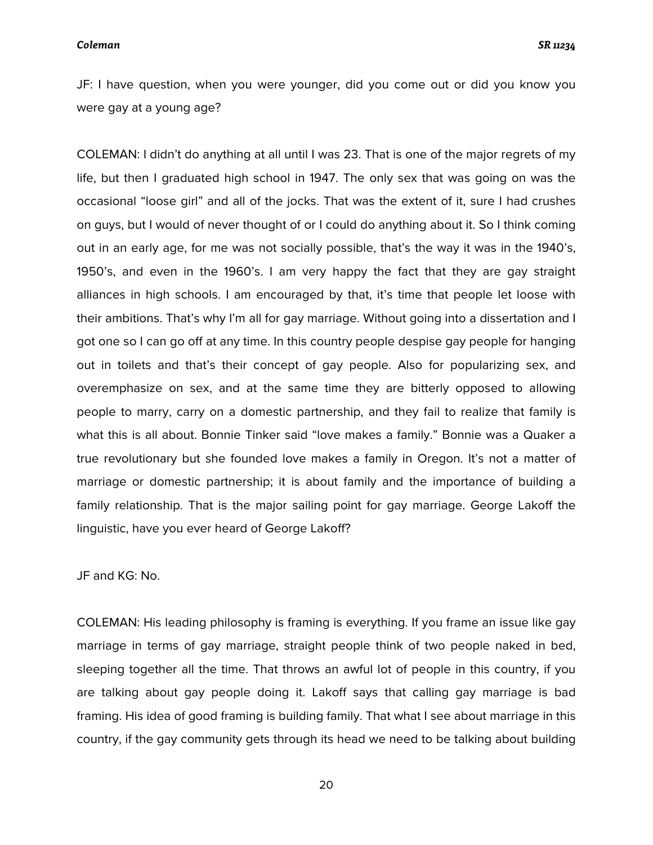JF: I have question, when you were younger, did you come out or did you know you were gay at a young age?

COLEMAN: I didn't do anything at all until I was 23. That is one of the major regrets of my life, but then I graduated high school in 1947. The only sex that was going on was the occasional "loose girl" and all of the jocks. That was the extent of it, sure I had crushes on guys, but I would of never thought of or I could do anything about it. So I think coming out in an early age, for me was not socially possible, that's the way it was in the 1940's, 1950's, and even in the 1960's. I am very happy the fact that they are gay straight alliances in high schools. I am encouraged by that, it's time that people let loose with their ambitions. That's why I'm all for gay marriage. Without going into a dissertation and I got one so I can go off at any time. In this country people despise gay people for hanging out in toilets and that's their concept of gay people. Also for popularizing sex, and overemphasize on sex, and at the same time they are bitterly opposed to allowing people to marry, carry on a domestic partnership, and they fail to realize that family is what this is all about. Bonnie Tinker said "love makes a family." Bonnie was a Quaker a true revolutionary but she founded love makes a family in Oregon. It's not a matter of marriage or domestic partnership; it is about family and the importance of building a family relationship. That is the major sailing point for gay marriage. George Lakoff the linguistic, have you ever heard of George Lakoff?

JF and KG: No.

COLEMAN: His leading philosophy is framing is everything. If you frame an issue like gay marriage in terms of gay marriage, straight people think of two people naked in bed, sleeping together all the time. That throws an awful lot of people in this country, if you are talking about gay people doing it. Lakoff says that calling gay marriage is bad framing. His idea of good framing is building family. That what I see about marriage in this country, if the gay community gets through its head we need to be talking about building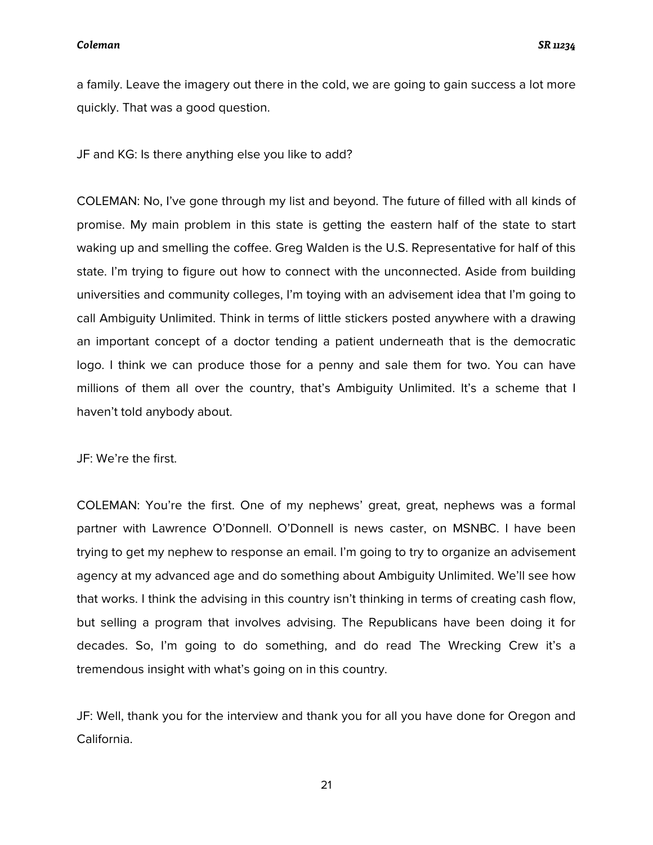a family. Leave the imagery out there in the cold, we are going to gain success a lot more quickly. That was a good question.

JF and KG: Is there anything else you like to add?

COLEMAN: No, I've gone through my list and beyond. The future of filled with all kinds of promise. My main problem in this state is getting the eastern half of the state to start waking up and smelling the coffee. Greg Walden is the U.S. Representative for half of this state. I'm trying to figure out how to connect with the unconnected. Aside from building universities and community colleges, I'm toying with an advisement idea that I'm going to call Ambiguity Unlimited. Think in terms of little stickers posted anywhere with a drawing an important concept of a doctor tending a patient underneath that is the democratic logo. I think we can produce those for a penny and sale them for two. You can have millions of them all over the country, that's Ambiguity Unlimited. It's a scheme that I haven't told anybody about.

JF: We're the first.

COLEMAN: You're the first. One of my nephews' great, great, nephews was a formal partner with Lawrence O'Donnell. O'Donnell is news caster, on MSNBC. I have been trying to get my nephew to response an email. I'm going to try to organize an advisement agency at my advanced age and do something about Ambiguity Unlimited. We'll see how that works. I think the advising in this country isn't thinking in terms of creating cash flow, but selling a program that involves advising. The Republicans have been doing it for decades. So, I'm going to do something, and do read The Wrecking Crew it's a tremendous insight with what's going on in this country.

JF: Well, thank you for the interview and thank you for all you have done for Oregon and California.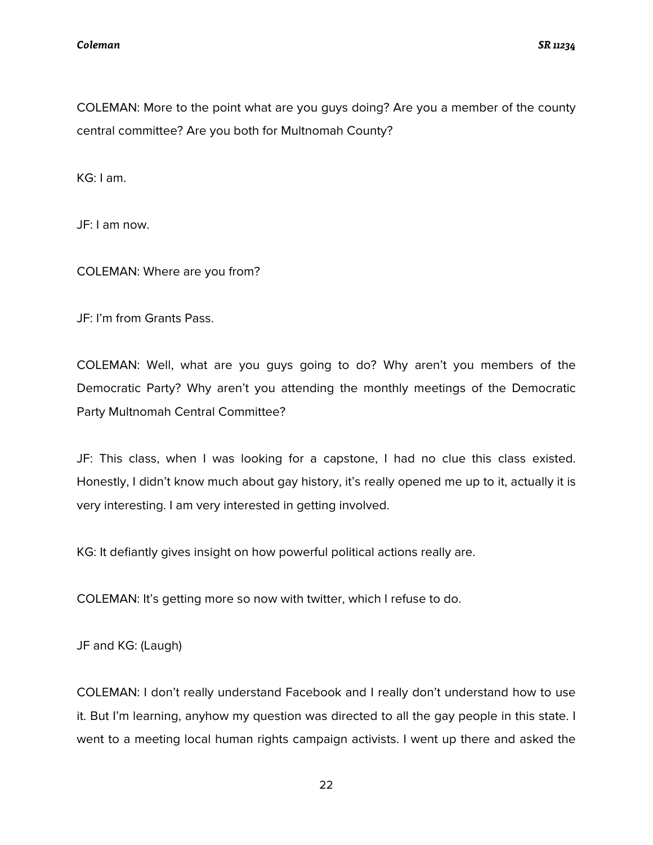COLEMAN: More to the point what are you guys doing? Are you a member of the county central committee? Are you both for Multnomah County?

KG: I am.

JF: I am now.

COLEMAN: Where are you from?

JF: I'm from Grants Pass.

COLEMAN: Well, what are you guys going to do? Why aren't you members of the Democratic Party? Why aren't you attending the monthly meetings of the Democratic Party Multnomah Central Committee?

JF: This class, when I was looking for a capstone, I had no clue this class existed. Honestly, I didn't know much about gay history, it's really opened me up to it, actually it is very interesting. I am very interested in getting involved.

KG: It defiantly gives insight on how powerful political actions really are.

COLEMAN: It's getting more so now with twitter, which I refuse to do.

JF and KG: (Laugh)

COLEMAN: I don't really understand Facebook and I really don't understand how to use it. But I'm learning, anyhow my question was directed to all the gay people in this state. I went to a meeting local human rights campaign activists. I went up there and asked the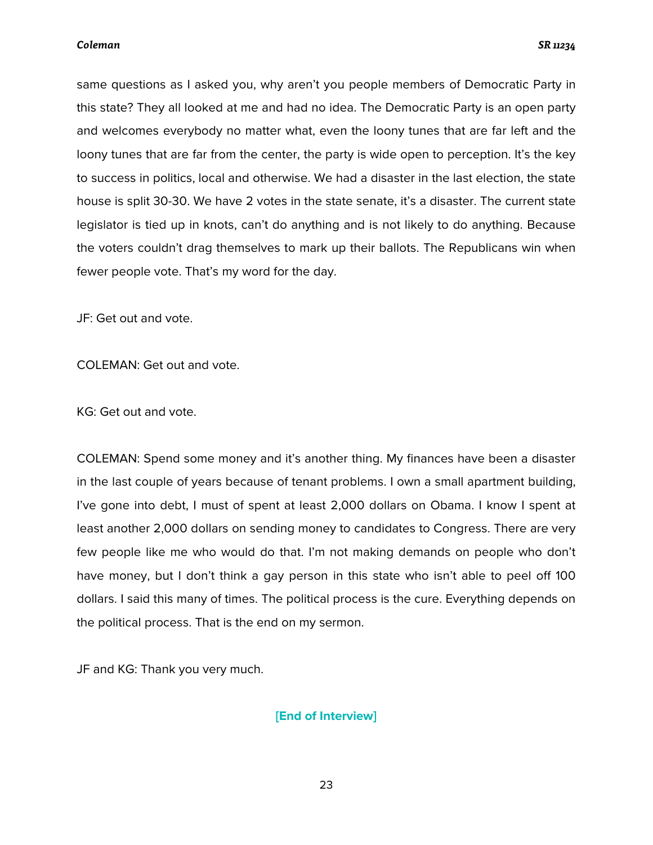same questions as I asked you, why aren't you people members of Democratic Party in this state? They all looked at me and had no idea. The Democratic Party is an open party and welcomes everybody no matter what, even the loony tunes that are far left and the loony tunes that are far from the center, the party is wide open to perception. It's the key to success in politics, local and otherwise. We had a disaster in the last election, the state house is split 30-30. We have 2 votes in the state senate, it's a disaster. The current state legislator is tied up in knots, can't do anything and is not likely to do anything. Because the voters couldn't drag themselves to mark up their ballots. The Republicans win when fewer people vote. That's my word for the day.

JF: Get out and vote.

COLEMAN: Get out and vote.

KG: Get out and vote.

COLEMAN: Spend some money and it's another thing. My finances have been a disaster in the last couple of years because of tenant problems. I own a small apartment building, I've gone into debt, I must of spent at least 2,000 dollars on Obama. I know I spent at least another 2,000 dollars on sending money to candidates to Congress. There are very few people like me who would do that. I'm not making demands on people who don't have money, but I don't think a gay person in this state who isn't able to peel off 100 dollars. I said this many of times. The political process is the cure. Everything depends on the political process. That is the end on my sermon.

JF and KG: Thank you very much.

### **[End of Interview]**